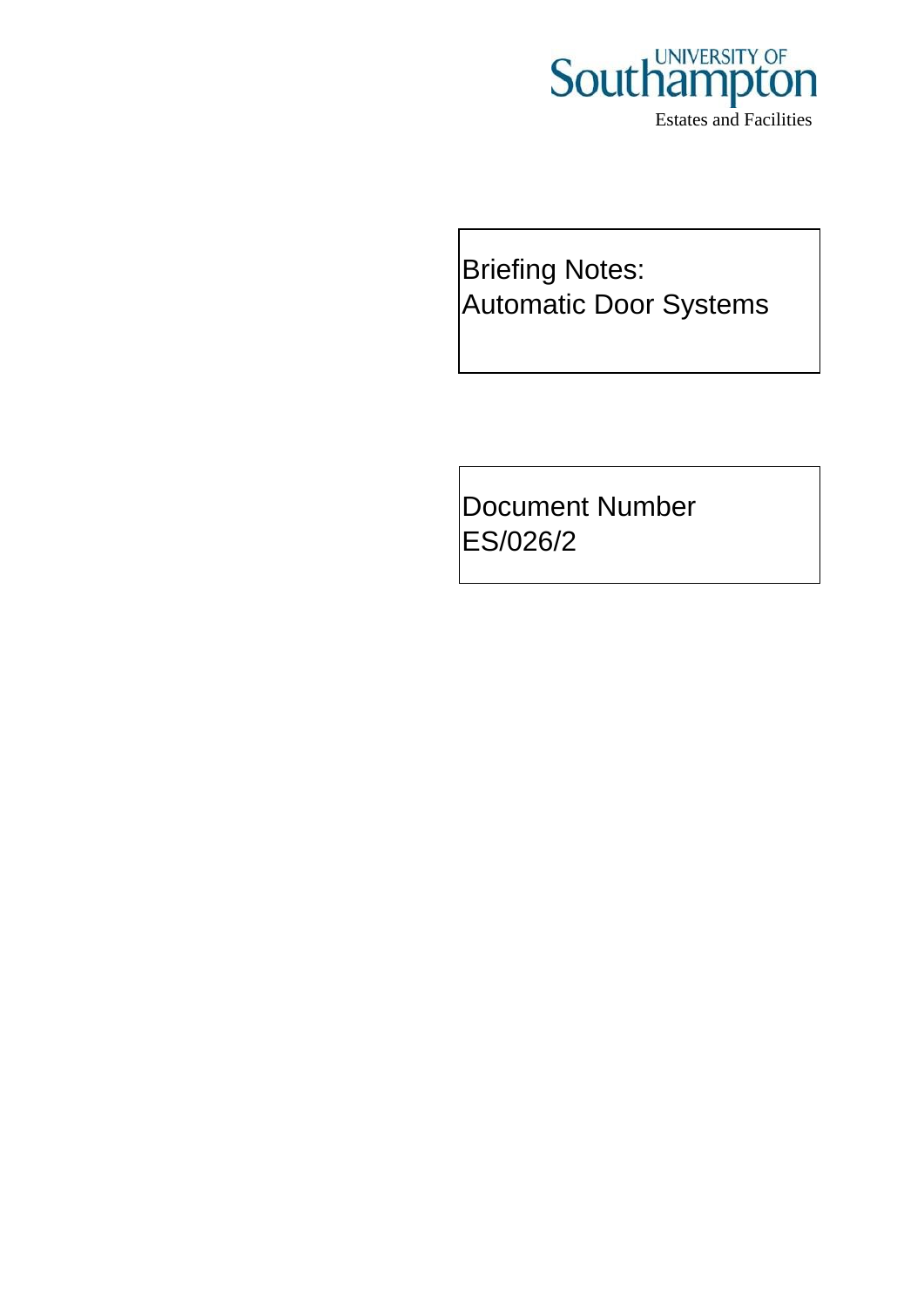

Briefing Notes: Automatic Door Systems

Document Number ES/026/2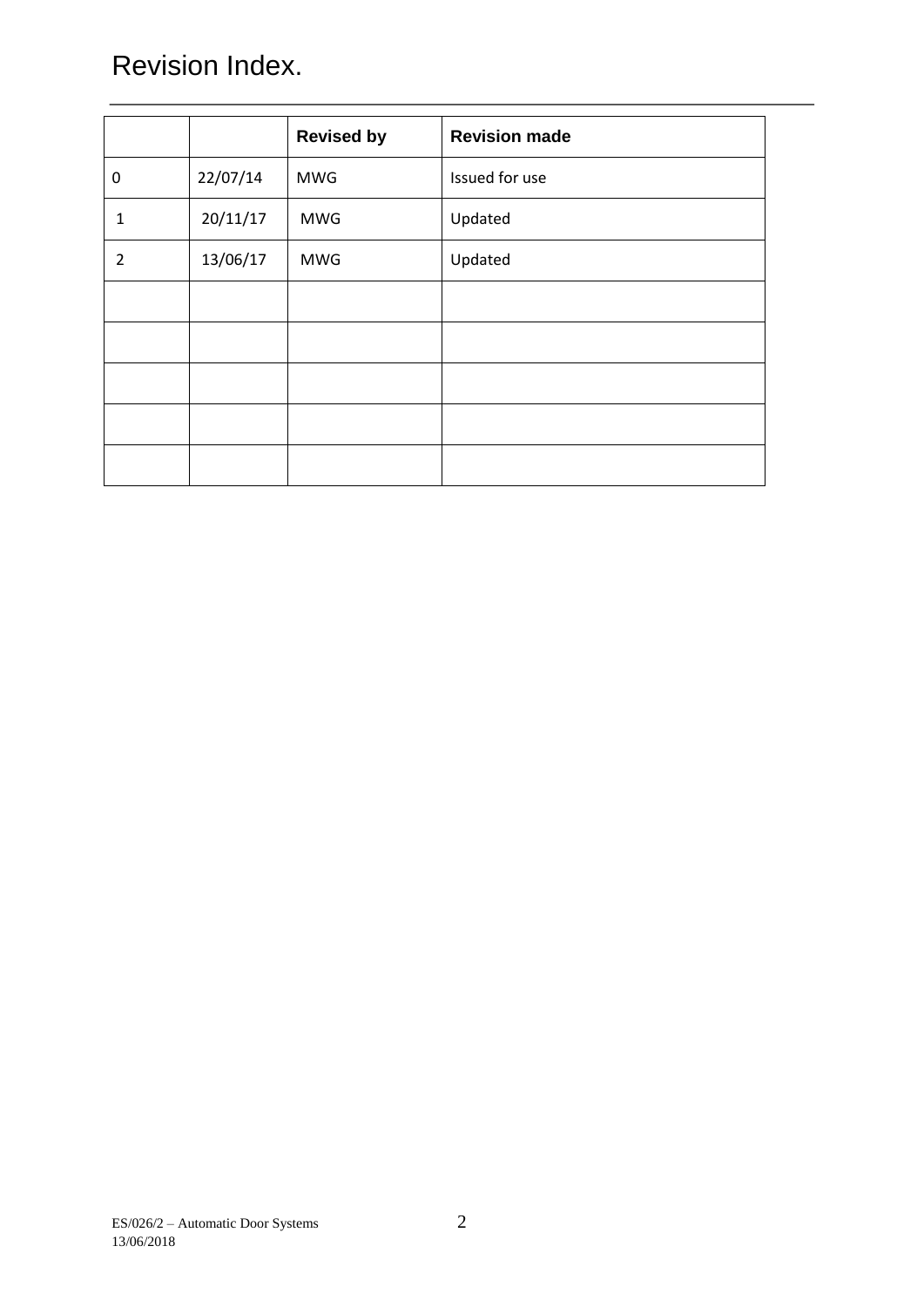# Revision Index.

|                |          | <b>Revised by</b> | <b>Revision made</b> |
|----------------|----------|-------------------|----------------------|
| 0              | 22/07/14 | <b>MWG</b>        | Issued for use       |
| $\mathbf{1}$   | 20/11/17 | <b>MWG</b>        | Updated              |
| $\overline{2}$ | 13/06/17 | <b>MWG</b>        | Updated              |
|                |          |                   |                      |
|                |          |                   |                      |
|                |          |                   |                      |
|                |          |                   |                      |
|                |          |                   |                      |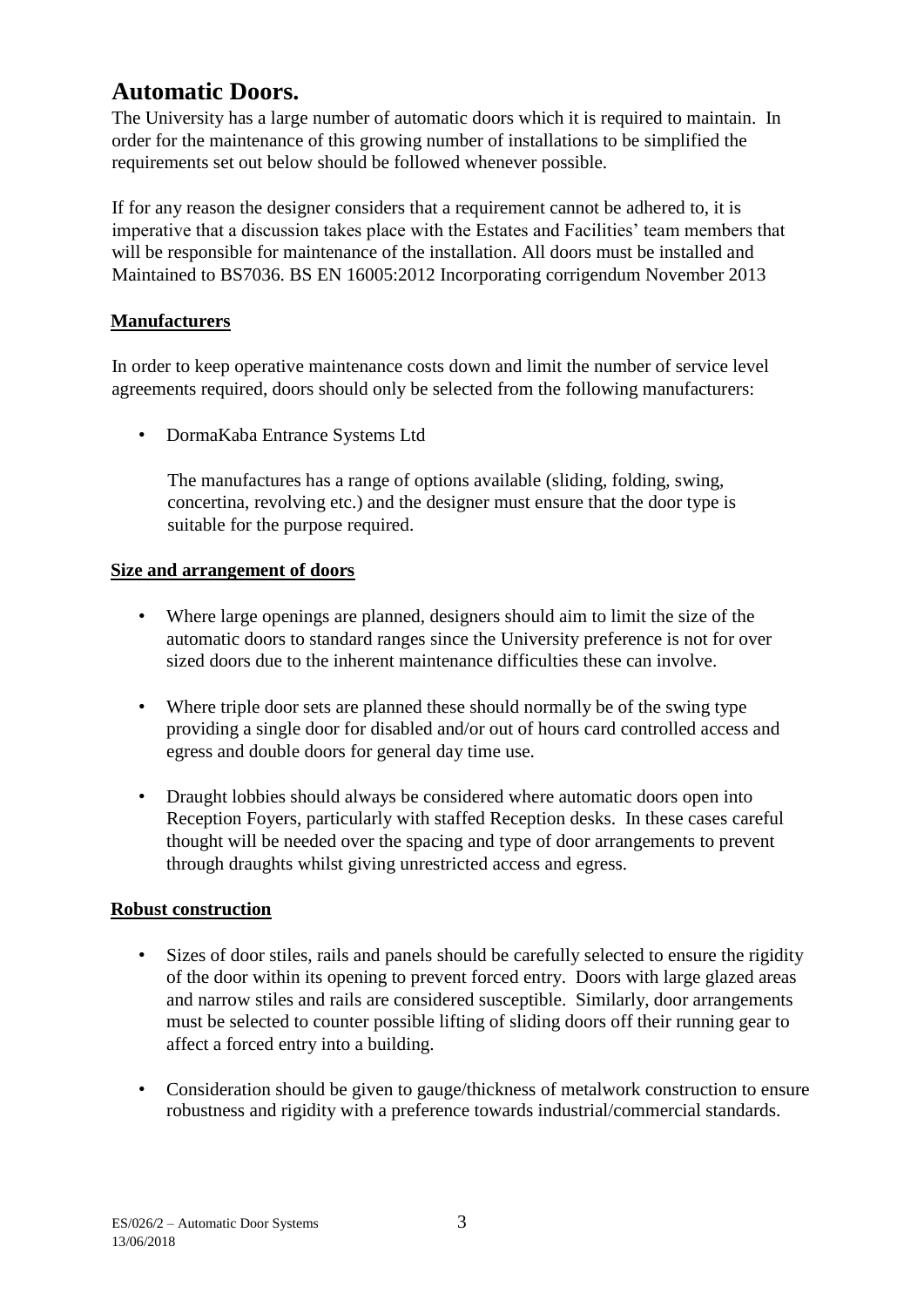# **Automatic Doors.**

The University has a large number of automatic doors which it is required to maintain. In order for the maintenance of this growing number of installations to be simplified the requirements set out below should be followed whenever possible.

If for any reason the designer considers that a requirement cannot be adhered to, it is imperative that a discussion takes place with the Estates and Facilities' team members that will be responsible for maintenance of the installation. All doors must be installed and Maintained to BS7036. BS EN 16005:2012 Incorporating corrigendum November 2013

## **Manufacturers**

In order to keep operative maintenance costs down and limit the number of service level agreements required, doors should only be selected from the following manufacturers:

• DormaKaba Entrance Systems Ltd

The manufactures has a range of options available (sliding, folding, swing, concertina, revolving etc.) and the designer must ensure that the door type is suitable for the purpose required.

### **Size and arrangement of doors**

- Where large openings are planned, designers should aim to limit the size of the automatic doors to standard ranges since the University preference is not for over sized doors due to the inherent maintenance difficulties these can involve.
- Where triple door sets are planned these should normally be of the swing type providing a single door for disabled and/or out of hours card controlled access and egress and double doors for general day time use.
- Draught lobbies should always be considered where automatic doors open into Reception Foyers, particularly with staffed Reception desks. In these cases careful thought will be needed over the spacing and type of door arrangements to prevent through draughts whilst giving unrestricted access and egress.

### **Robust construction**

- Sizes of door stiles, rails and panels should be carefully selected to ensure the rigidity of the door within its opening to prevent forced entry. Doors with large glazed areas and narrow stiles and rails are considered susceptible. Similarly, door arrangements must be selected to counter possible lifting of sliding doors off their running gear to affect a forced entry into a building.
- Consideration should be given to gauge/thickness of metalwork construction to ensure robustness and rigidity with a preference towards industrial/commercial standards.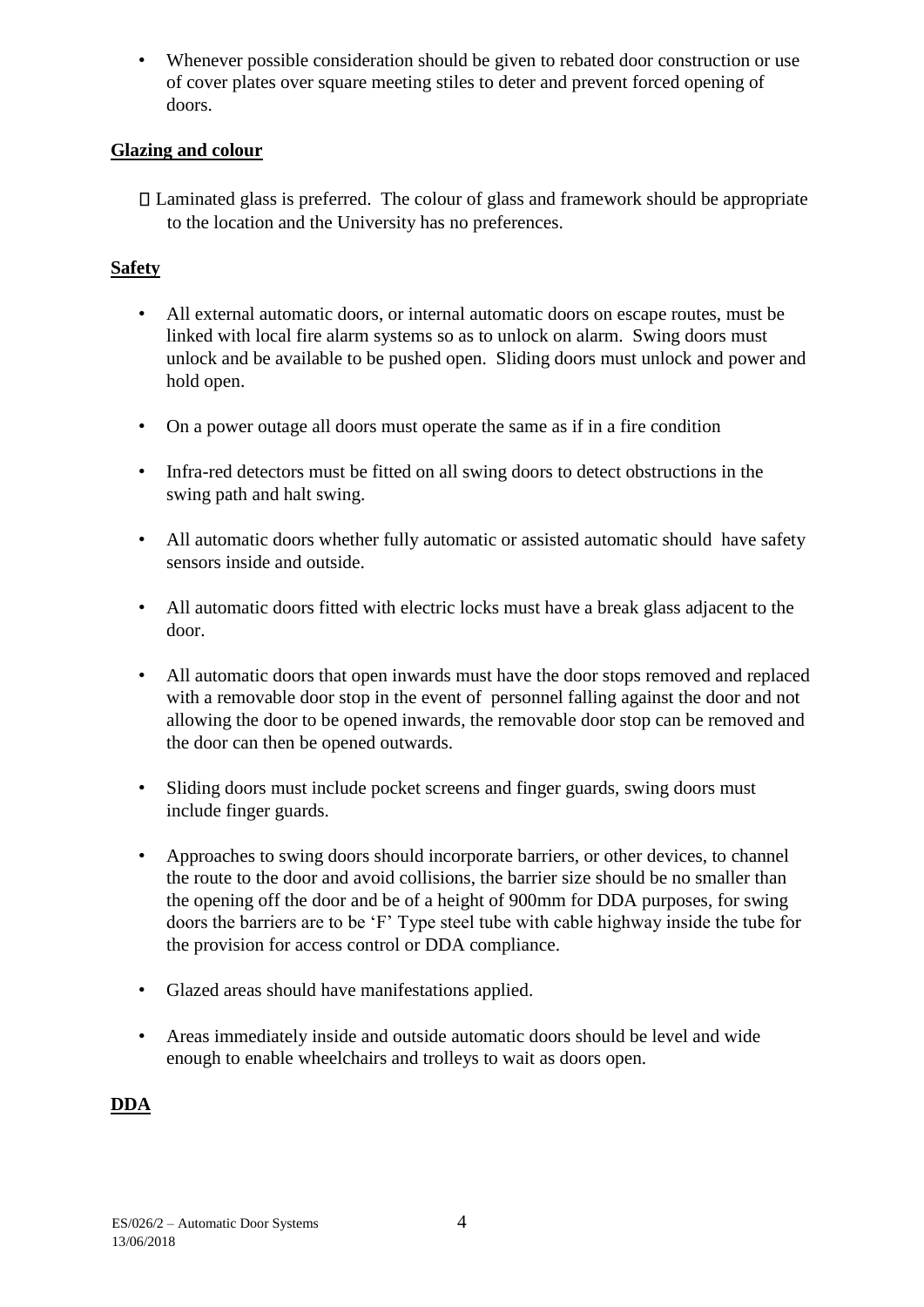• Whenever possible consideration should be given to rebated door construction or use of cover plates over square meeting stiles to deter and prevent forced opening of doors.

## **Glazing and colour**

 $\Box$  Laminated glass is preferred. The colour of glass and framework should be appropriate to the location and the University has no preferences.

# **Safety**

- All external automatic doors, or internal automatic doors on escape routes, must be linked with local fire alarm systems so as to unlock on alarm. Swing doors must unlock and be available to be pushed open. Sliding doors must unlock and power and hold open.
- On a power outage all doors must operate the same as if in a fire condition
- Infra-red detectors must be fitted on all swing doors to detect obstructions in the swing path and halt swing.
- All automatic doors whether fully automatic or assisted automatic should have safety sensors inside and outside.
- All automatic doors fitted with electric locks must have a break glass adjacent to the door.
- All automatic doors that open inwards must have the door stops removed and replaced with a removable door stop in the event of personnel falling against the door and not allowing the door to be opened inwards, the removable door stop can be removed and the door can then be opened outwards.
- Sliding doors must include pocket screens and finger guards, swing doors must include finger guards.
- Approaches to swing doors should incorporate barriers, or other devices, to channel the route to the door and avoid collisions, the barrier size should be no smaller than the opening off the door and be of a height of 900mm for DDA purposes, for swing doors the barriers are to be 'F' Type steel tube with cable highway inside the tube for the provision for access control or DDA compliance.
- Glazed areas should have manifestations applied.
- Areas immediately inside and outside automatic doors should be level and wide enough to enable wheelchairs and trolleys to wait as doors open.

# **DDA**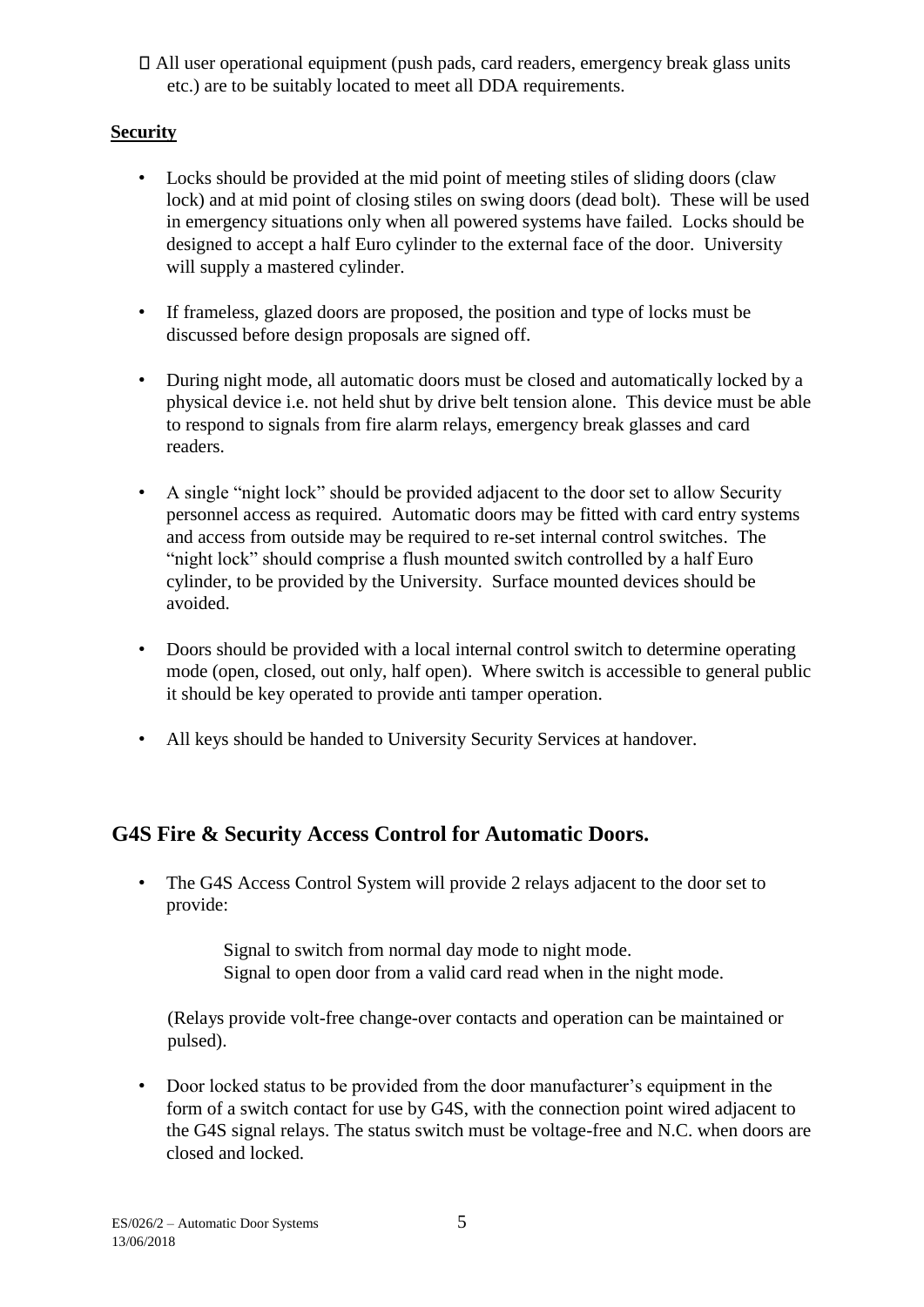All user operational equipment (push pads, card readers, emergency break glass units etc.) are to be suitably located to meet all DDA requirements.

# **Security**

- Locks should be provided at the mid point of meeting stiles of sliding doors (claw lock) and at mid point of closing stiles on swing doors (dead bolt). These will be used in emergency situations only when all powered systems have failed. Locks should be designed to accept a half Euro cylinder to the external face of the door. University will supply a mastered cylinder.
- If frameless, glazed doors are proposed, the position and type of locks must be discussed before design proposals are signed off.
- During night mode, all automatic doors must be closed and automatically locked by a physical device i.e. not held shut by drive belt tension alone. This device must be able to respond to signals from fire alarm relays, emergency break glasses and card readers.
- A single "night lock" should be provided adjacent to the door set to allow Security personnel access as required. Automatic doors may be fitted with card entry systems and access from outside may be required to re-set internal control switches. The "night lock" should comprise a flush mounted switch controlled by a half Euro cylinder, to be provided by the University. Surface mounted devices should be avoided.
- Doors should be provided with a local internal control switch to determine operating mode (open, closed, out only, half open). Where switch is accessible to general public it should be key operated to provide anti tamper operation.
- All keys should be handed to University Security Services at handover.

# **G4S Fire & Security Access Control for Automatic Doors.**

• The G4S Access Control System will provide 2 relays adjacent to the door set to provide:

> Signal to switch from normal day mode to night mode. Signal to open door from a valid card read when in the night mode.

(Relays provide volt-free change-over contacts and operation can be maintained or pulsed).

• Door locked status to be provided from the door manufacturer's equipment in the form of a switch contact for use by G4S, with the connection point wired adjacent to the G4S signal relays. The status switch must be voltage-free and N.C. when doors are closed and locked.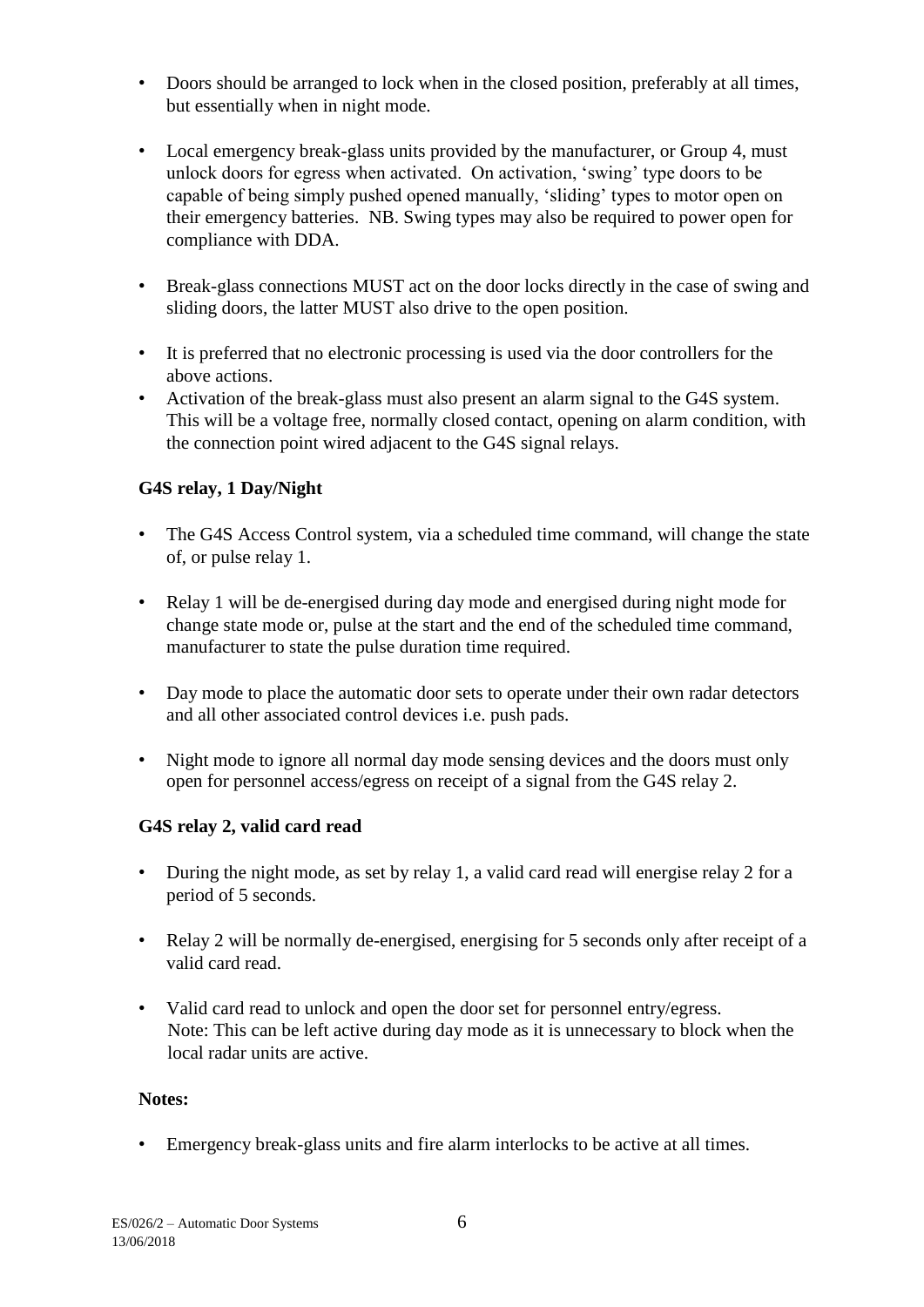- Doors should be arranged to lock when in the closed position, preferably at all times, but essentially when in night mode.
- Local emergency break-glass units provided by the manufacturer, or Group 4, must unlock doors for egress when activated. On activation, 'swing' type doors to be capable of being simply pushed opened manually, 'sliding' types to motor open on their emergency batteries. NB. Swing types may also be required to power open for compliance with DDA.
- Break-glass connections MUST act on the door locks directly in the case of swing and sliding doors, the latter MUST also drive to the open position.
- It is preferred that no electronic processing is used via the door controllers for the above actions.
- Activation of the break-glass must also present an alarm signal to the G4S system. This will be a voltage free, normally closed contact, opening on alarm condition, with the connection point wired adjacent to the G4S signal relays.

## **G4S relay, 1 Day/Night**

- The G4S Access Control system, via a scheduled time command, will change the state of, or pulse relay 1.
- Relay 1 will be de-energised during day mode and energised during night mode for change state mode or, pulse at the start and the end of the scheduled time command, manufacturer to state the pulse duration time required.
- Day mode to place the automatic door sets to operate under their own radar detectors and all other associated control devices i.e. push pads.
- Night mode to ignore all normal day mode sensing devices and the doors must only open for personnel access/egress on receipt of a signal from the G4S relay 2.

### **G4S relay 2, valid card read**

- During the night mode, as set by relay 1, a valid card read will energise relay 2 for a period of 5 seconds.
- Relay 2 will be normally de-energised, energising for 5 seconds only after receipt of a valid card read.
- Valid card read to unlock and open the door set for personnel entry/egress. Note: This can be left active during day mode as it is unnecessary to block when the local radar units are active.

#### **Notes:**

• Emergency break-glass units and fire alarm interlocks to be active at all times.